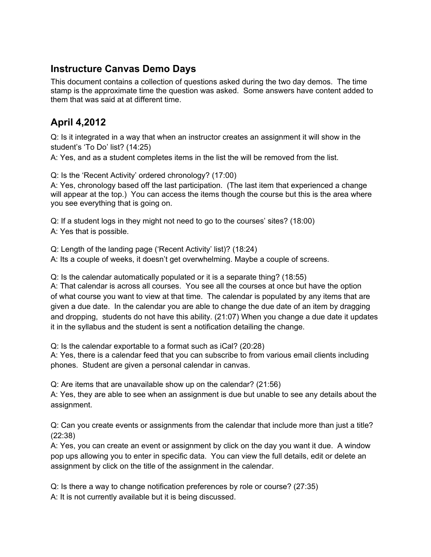## **Instructure Canvas Demo Days**

This document contains a collection of questions asked during the two day demos. The time stamp is the approximate time the question was asked. Some answers have content added to them that was said at at different time.

## **April 4,2012**

Q: Is it integrated in a way that when an instructor creates an assignment it will show in the student's 'To Do' list? (14:25)

A: Yes, and as a student completes items in the list the will be removed from the list.

Q: Is the 'Recent Activity' ordered chronology? (17:00)

A: Yes, chronology based off the last participation. (The last item that experienced a change will appear at the top.) You can access the items though the course but this is the area where you see everything that is going on.

Q: If a student logs in they might not need to go to the courses' sites? (18:00) A: Yes that is possible.

Q: Length of the landing page ('Recent Activity' list)? (18:24)

A: Its a couple of weeks, it doesn't get overwhelming. Maybe a couple of screens.

Q: Is the calendar automatically populated or it is a separate thing? (18:55)

A: That calendar is across all courses. You see all the courses at once but have the option of what course you want to view at that time. The calendar is populated by any items that are given a due date. In the calendar you are able to change the due date of an item by dragging and dropping, students do not have this ability. (21:07) When you change a due date it updates it in the syllabus and the student is sent a notification detailing the change.

Q: Is the calendar exportable to a format such as iCal? (20:28)

A: Yes, there is a calendar feed that you can subscribe to from various email clients including phones. Student are given a personal calendar in canvas.

Q: Are items that are unavailable show up on the calendar? (21:56)

A: Yes, they are able to see when an assignment is due but unable to see any details about the assignment.

Q: Can you create events or assignments from the calendar that include more than just a title? (22:38)

A: Yes, you can create an event or assignment by click on the day you want it due. A window pop ups allowing you to enter in specific data. You can view the full details, edit or delete an assignment by click on the title of the assignment in the calendar.

Q: Is there a way to change notification preferences by role or course? (27:35) A: It is not currently available but it is being discussed.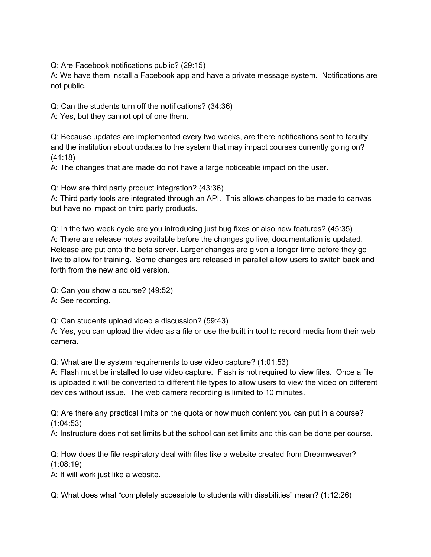Q: Are Facebook notifications public? (29:15)

A: We have them install a Facebook app and have a private message system. Notifications are not public.

Q: Can the students turn off the notifications? (34:36)

A: Yes, but they cannot opt of one them.

Q: Because updates are implemented every two weeks, are there notifications sent to faculty and the institution about updates to the system that may impact courses currently going on? (41:18)

A: The changes that are made do not have a large noticeable impact on the user.

Q: How are third party product integration? (43:36)

A: Third party tools are integrated through an API. This allows changes to be made to canvas but have no impact on third party products.

Q: In the two week cycle are you introducing just bug fixes or also new features? (45:35) A: There are release notes available before the changes go live, documentation is updated. Release are put onto the beta server. Larger changes are given a longer time before they go live to allow for training. Some changes are released in parallel allow users to switch back and forth from the new and old version.

Q: Can you show a course? (49:52)

A: See recording.

Q: Can students upload video a discussion? (59:43)

A: Yes, you can upload the video as a file or use the built in tool to record media from their web camera.

Q: What are the system requirements to use video capture? (1:01:53)

A: Flash must be installed to use video capture. Flash is not required to view files. Once a file is uploaded it will be converted to different file types to allow users to view the video on different devices without issue. The web camera recording is limited to 10 minutes.

Q: Are there any practical limits on the quota or how much content you can put in a course? (1:04:53)

A: Instructure does not set limits but the school can set limits and this can be done per course.

Q: How does the file respiratory deal with files like a website created from Dreamweaver? (1:08:19)

A: It will work just like a website.

Q: What does what "completely accessible to students with disabilities" mean? (1:12:26)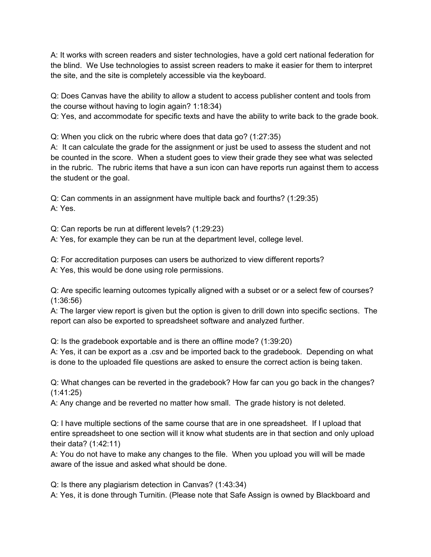A: It works with screen readers and sister technologies, have a gold cert national federation for the blind. We Use technologies to assist screen readers to make it easier for them to interpret the site, and the site is completely accessible via the keyboard.

Q: Does Canvas have the ability to allow a student to access publisher content and tools from the course without having to login again? 1:18:34)

Q: Yes, and accommodate for specific texts and have the ability to write back to the grade book.

Q: When you click on the rubric where does that data go? (1:27:35)

A: It can calculate the grade for the assignment or just be used to assess the student and not be counted in the score. When a student goes to view their grade they see what was selected in the rubric. The rubric items that have a sun icon can have reports run against them to access the student or the goal.

Q: Can comments in an assignment have multiple back and fourths? (1:29:35) A: Yes.

Q: Can reports be run at different levels? (1:29:23)

A: Yes, for example they can be run at the department level, college level.

Q: For accreditation purposes can users be authorized to view different reports?

A: Yes, this would be done using role permissions.

Q: Are specific learning outcomes typically aligned with a subset or or a select few of courses? (1:36:56)

A: The larger view report is given but the option is given to drill down into specific sections. The report can also be exported to spreadsheet software and analyzed further.

Q: Is the gradebook exportable and is there an offline mode? (1:39:20)

A: Yes, it can be export as a .csv and be imported back to the gradebook. Depending on what is done to the uploaded file questions are asked to ensure the correct action is being taken.

Q: What changes can be reverted in the gradebook? How far can you go back in the changes? (1:41:25)

A: Any change and be reverted no matter how small. The grade history is not deleted.

Q: I have multiple sections of the same course that are in one spreadsheet. If I upload that entire spreadsheet to one section will it know what students are in that section and only upload their data? (1:42:11)

A: You do not have to make any changes to the file. When you upload you will will be made aware of the issue and asked what should be done.

Q: Is there any plagiarism detection in Canvas? (1:43:34)

A: Yes, it is done through Turnitin. (Please note that Safe Assign is owned by Blackboard and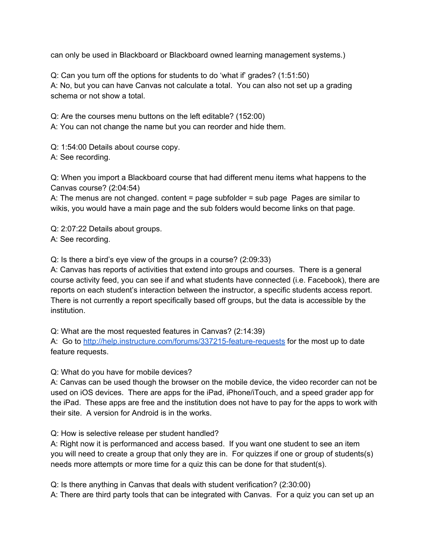can only be used in Blackboard or Blackboard owned learning management systems.)

Q: Can you turn off the options for students to do 'what if' grades? (1:51:50) A: No, but you can have Canvas not calculate a total. You can also not set up a grading schema or not show a total.

Q: Are the courses menu buttons on the left editable? (152:00)

A: You can not change the name but you can reorder and hide them.

Q: 1:54:00 Details about course copy. A: See recording.

Q: When you import a Blackboard course that had different menu items what happens to the Canvas course? (2:04:54)

A: The menus are not changed. content = page subfolder = sub page Pages are similar to wikis, you would have a main page and the sub folders would become links on that page.

Q: 2:07:22 Details about groups. A: See recording.

Q: Is there a bird's eye view of the groups in a course? (2:09:33)

A: Canvas has reports of activities that extend into groups and courses. There is a general course activity feed, you can see if and what students have connected (i.e. Facebook), there are reports on each student's interaction between the instructor, a specific students access report. There is not currently a report specifically based off groups, but the data is accessible by the institution.

Q: What are the most requested features in Canvas? (2:14:39)

A: Go to<http://help.instructure.com/forums/337215-feature-requests> for the most up to date feature requests.

Q: What do you have for mobile devices?

A: Canvas can be used though the browser on the mobile device, the video recorder can not be used on iOS devices. There are apps for the iPad, iPhone/iTouch, and a speed grader app for the iPad. These apps are free and the institution does not have to pay for the apps to work with their site. A version for Android is in the works.

Q: How is selective release per student handled?

A: Right now it is performanced and access based. If you want one student to see an item you will need to create a group that only they are in. For quizzes if one or group of students(s) needs more attempts or more time for a quiz this can be done for that student(s).

Q: Is there anything in Canvas that deals with student verification? (2:30:00) A: There are third party tools that can be integrated with Canvas. For a quiz you can set up an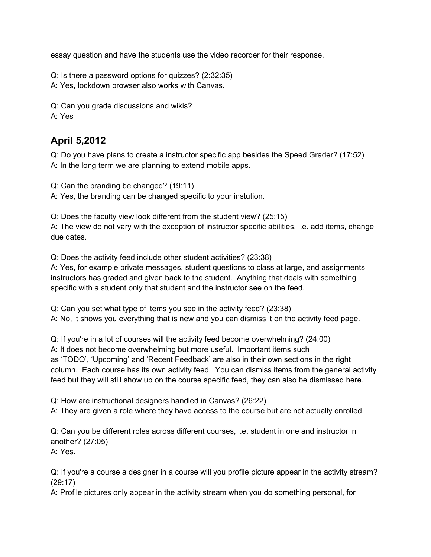essay question and have the students use the video recorder for their response.

Q: Is there a password options for quizzes? (2:32:35) A: Yes, lockdown browser also works with Canvas.

Q: Can you grade discussions and wikis? A: Yes

## **April 5,2012**

Q: Do you have plans to create a instructor specific app besides the Speed Grader? (17:52) A: In the long term we are planning to extend mobile apps.

Q: Can the branding be changed? (19:11)

A: Yes, the branding can be changed specific to your instution.

Q: Does the faculty view look different from the student view? (25:15)

A: The view do not vary with the exception of instructor specific abilities, i.e. add items, change due dates.

Q: Does the activity feed include other student activities? (23:38)

A: Yes, for example private messages, student questions to class at large, and assignments instructors has graded and given back to the student. Anything that deals with something specific with a student only that student and the instructor see on the feed.

Q: Can you set what type of items you see in the activity feed? (23:38) A: No, it shows you everything that is new and you can dismiss it on the activity feed page.

Q: If you're in a lot of courses will the activity feed become overwhelming? (24:00) A: It does not become overwhelming but more useful. Important items such as 'TODO', 'Upcoming' and 'Recent Feedback' are also in their own sections in the right column. Each course has its own activity feed. You can dismiss items from the general activity feed but they will still show up on the course specific feed, they can also be dismissed here.

Q: How are instructional designers handled in Canvas? (26:22)

A: They are given a role where they have access to the course but are not actually enrolled.

Q: Can you be different roles across different courses, i.e. student in one and instructor in another? (27:05)

A: Yes.

Q: If you're a course a designer in a course will you profile picture appear in the activity stream? (29:17)

A: Profile pictures only appear in the activity stream when you do something personal, for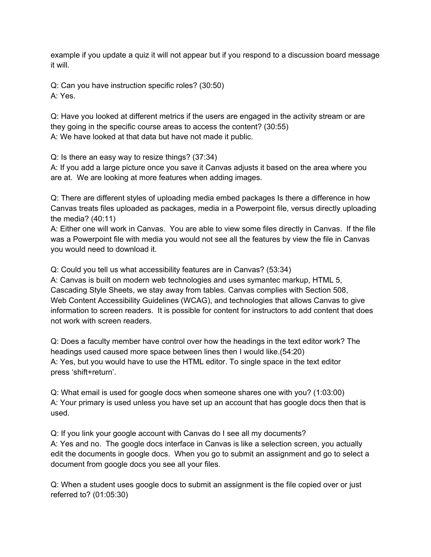example if you update a quiz it will not appear but if you respond to a discussion board message it will.

Q: Can you have instruction specific roles? (30:50) A: Yes.

Q: Have you looked at different metrics if the users are engaged in the activity stream or are they going in the specific course areas to access the content? (30:55) A: We have looked at that data but have not made it public.

Q: Is there an easy way to resize things? (37:34)

A: If you add a large picture once you save it Canvas adjusts it based on the area where you are at. We are looking at more features when adding images.

Q: There are different styles of uploading media embed packages Is there a difference in how Canvas treats files uploaded as packages, media in a Powerpoint file, versus directly uploading the media? (40:11)

A: Either one will work in Canvas. You are able to view some files directly in Canvas. If the file was a Powerpoint file with media you would not see all the features by view the file in Canvas you would need to download it.

Q: Could you tell us what accessibility features are in Canvas? (53:34)

A: Canvas is built on modern web technologies and uses symantec markup, HTML 5, Cascading Style Sheets, we stay away from tables. Canvas complies with Section 508, Web Content Accessibility Guidelines (WCAG), and technologies that allows Canvas to give information to screen readers. It is possible for content for instructors to add content that does not work with screen readers.

Q: Does a faculty member have control over how the headings in the text editor work? The headings used caused more space between lines then I would like.(54:20) A: Yes, but you would have to use the HTML editor. To single space in the text editor press 'shift+return'.

Q: What email is used for google docs when someone shares one with you? (1:03:00) A: Your primary is used unless you have set up an account that has google docs then that is used.

Q: If you link your google account with Canvas do I see all my documents? A: Yes and no. The google docs interface in Canvas is like a selection screen, you actually edit the documents in google docs. When you go to submit an assignment and go to select a document from google docs you see all your files.

Q: When a student uses google docs to submit an assignment is the file copied over or just referred to? (01:05:30)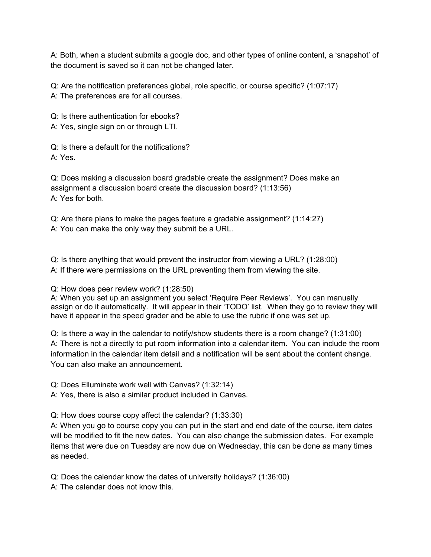A: Both, when a student submits a google doc, and other types of online content, a 'snapshot' of the document is saved so it can not be changed later.

Q: Are the notification preferences global, role specific, or course specific? (1:07:17) A: The preferences are for all courses.

Q: Is there authentication for ebooks?

A: Yes, single sign on or through LTI.

Q: Is there a default for the notifications? A: Yes.

Q: Does making a discussion board gradable create the assignment? Does make an assignment a discussion board create the discussion board? (1:13:56) A: Yes for both.

Q: Are there plans to make the pages feature a gradable assignment? (1:14:27) A: You can make the only way they submit be a URL.

Q: Is there anything that would prevent the instructor from viewing a URL? (1:28:00) A: If there were permissions on the URL preventing them from viewing the site.

Q: How does peer review work? (1:28:50)

A: When you set up an assignment you select 'Require Peer Reviews'. You can manually assign or do it automatically. It will appear in their 'TODO' list. When they go to review they will have it appear in the speed grader and be able to use the rubric if one was set up.

Q: Is there a way in the calendar to notify/show students there is a room change? (1:31:00) A: There is not a directly to put room information into a calendar item. You can include the room information in the calendar item detail and a notification will be sent about the content change. You can also make an announcement.

Q: Does Elluminate work well with Canvas? (1:32:14)

A: Yes, there is also a similar product included in Canvas.

Q: How does course copy affect the calendar? (1:33:30)

A: When you go to course copy you can put in the start and end date of the course, item dates will be modified to fit the new dates. You can also change the submission dates. For example items that were due on Tuesday are now due on Wednesday, this can be done as many times as needed.

Q: Does the calendar know the dates of university holidays? (1:36:00)

A: The calendar does not know this.